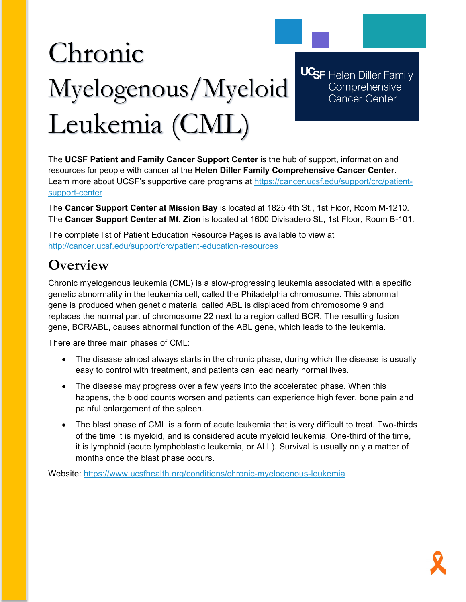# Chronic Myelogenous/Myeloid Leukemia (CML)

**UCSF** Helen Diller Family Comprehensive Cancer Center

The **UCSF Patient and Family Cancer Support Center** is the hub of support, information and resources for people with cancer at the **Helen Diller Family Comprehensive Cancer Center**. Learn more about UCSF's supportive care programs at [https://cancer.ucsf.edu/support/crc/patient](https://cancer.ucsf.edu/support/crc/patient-support-center)[support-center](https://cancer.ucsf.edu/support/crc/patient-support-center)

The **Cancer Support Center at Mission Bay** is located at 1825 4th St., 1st Floor, Room M-1210. The **Cancer Support Center at Mt. Zion** is located at 1600 Divisadero St., 1st Floor, Room B-101.

The complete list of Patient Education Resource Pages is available to view at <http://cancer.ucsf.edu/support/crc/patient-education-resources>

# **Overview**

Chronic myelogenous leukemia (CML) is a slow-progressing leukemia associated with a specific genetic abnormality in the leukemia cell, called the Philadelphia chromosome. This abnormal gene is produced when genetic material called ABL is displaced from chromosome 9 and replaces the normal part of chromosome 22 next to a region called BCR. The resulting fusion gene, BCR/ABL, causes abnormal function of the ABL gene, which leads to the leukemia.

There are three main phases of CML:

- The disease almost always starts in the chronic phase, during which the disease is usually easy to control with treatment, and patients can lead nearly normal lives.
- The disease may progress over a few years into the accelerated phase. When this happens, the blood counts worsen and patients can experience high fever, bone pain and painful enlargement of the spleen.
- The blast phase of CML is a form of acute leukemia that is very difficult to treat. Two-thirds of the time it is myeloid, and is considered acute myeloid leukemia. One-third of the time, it is lymphoid (acute lymphoblastic leukemia, or ALL). Survival is usually only a matter of months once the blast phase occurs.

Website:<https://www.ucsfhealth.org/conditions/chronic-myelogenous-leukemia>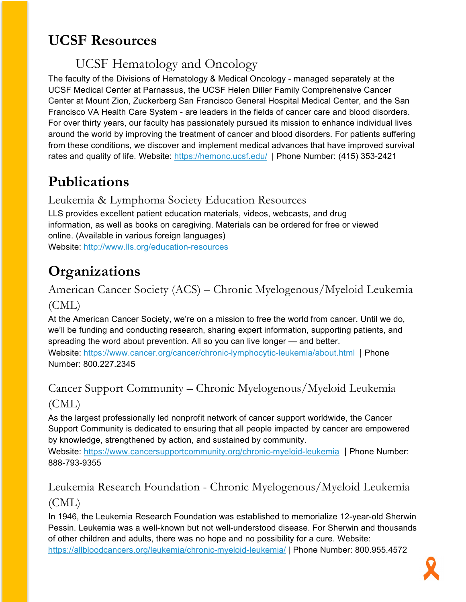# **UCSF Resources**

# UCSF Hematology and Oncology

The faculty of the Divisions of Hematology & Medical Oncology - managed separately at the UCSF Medical Center at Parnassus, the UCSF Helen Diller Family Comprehensive Cancer Center at Mount Zion, Zuckerberg San Francisco General Hospital Medical Center, and the San Francisco VA Health Care System - are leaders in the fields of cancer care and blood disorders. For over thirty years, our faculty has passionately pursued its mission to enhance individual lives around the world by improving the treatment of cancer and blood disorders. For patients suffering from these conditions, we discover and implement medical advances that have improved survival rates and quality of life. Website:<https://hemonc.ucsf.edu/>| Phone Number: (415) 353-2421

# **Publications**

#### Leukemia & Lymphoma Society Education Resources

LLS provides excellent patient education materials, videos, webcasts, and drug information, as well as books on caregiving. Materials can be ordered for free or viewed online. (Available in various foreign languages) Website: <http://www.lls.org/education-resources>

# **Organizations**

American Cancer Society (ACS) – Chronic Myelogenous/Myeloid Leukemia (CML)

At the American Cancer Society, we're on a mission to free the world from cancer. Until we do, we'll be funding and conducting research, sharing expert information, supporting patients, and spreading the word about prevention. All so you can live longer — and better.

Website: <https://www.cancer.org/cancer/chronic-lymphocytic-leukemia/about.html> | Phone Number: 800.227.2345

# Cancer Support Community – Chronic Myelogenous/Myeloid Leukemia (CML)

As the largest professionally led nonprofit network of cancer support worldwide, the Cancer Support Community is dedicated to ensuring that all people impacted by cancer are empowered by knowledge, strengthened by action, and sustained by community.

Website:<https://www.cancersupportcommunity.org/chronic-myeloid-leukemia> | Phone Number: 888-793-9355

## Leukemia Research Foundation - Chronic Myelogenous/Myeloid Leukemia (CML)

In 1946, the Leukemia Research Foundation was established to memorialize 12-year-old Sherwin Pessin. Leukemia was a well-known but not well-understood disease. For Sherwin and thousands of other children and adults, there was no hope and no possibility for a cure. Website: <https://allbloodcancers.org/leukemia/chronic-myeloid-leukemia/> | Phone Number: 800.955.4572